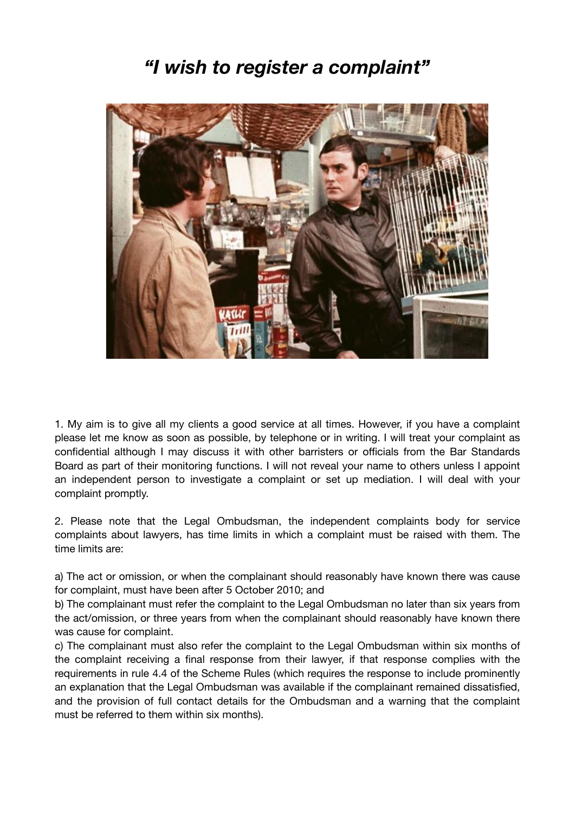## *"I wish to register a complaint"*



1. My aim is to give all my clients a good service at all times. However, if you have a complaint please let me know as soon as possible, by telephone or in writing. I will treat your complaint as confidential although I may discuss it with other barristers or officials from the Bar Standards Board as part of their monitoring functions. I will not reveal your name to others unless I appoint an independent person to investigate a complaint or set up mediation. I will deal with your complaint promptly.

2. Please note that the Legal Ombudsman, the independent complaints body for service complaints about lawyers, has time limits in which a complaint must be raised with them. The time limits are:

a) The act or omission, or when the complainant should reasonably have known there was cause for complaint, must have been after 5 October 2010; and

b) The complainant must refer the complaint to the Legal Ombudsman no later than six years from the act/omission, or three years from when the complainant should reasonably have known there was cause for complaint.

c) The complainant must also refer the complaint to the Legal Ombudsman within six months of the complaint receiving a final response from their lawyer, if that response complies with the requirements in rule 4.4 of the Scheme Rules (which requires the response to include prominently an explanation that the Legal Ombudsman was available if the complainant remained dissatisfied, and the provision of full contact details for the Ombudsman and a warning that the complaint must be referred to them within six months).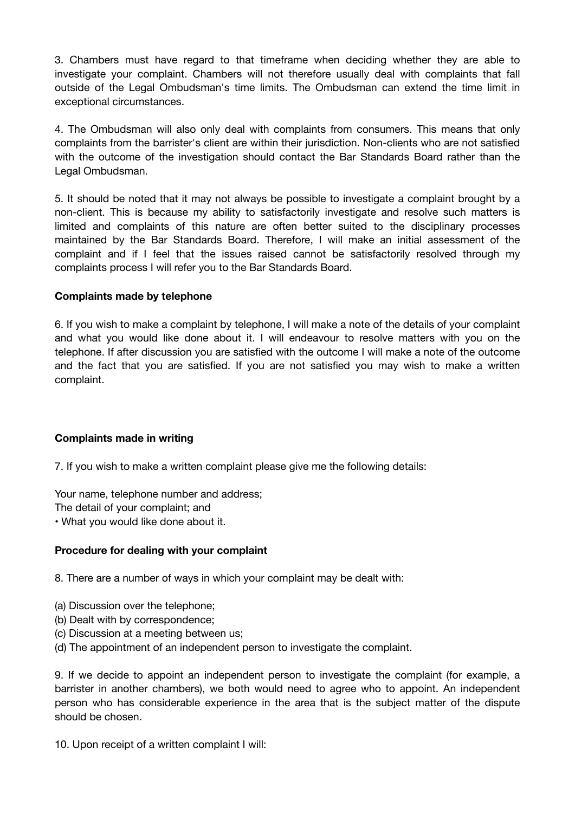3. Chambers must have regard to that timeframe when deciding whether they are able to investigate your complaint. Chambers will not therefore usually deal with complaints that fall outside of the Legal Ombudsman's time limits. The Ombudsman can extend the time limit in exceptional circumstances.

4. The Ombudsman will also only deal with complaints from consumers. This means that only complaints from the barrister's client are within their jurisdiction. Non-clients who are not satisfied with the outcome of the investigation should contact the Bar Standards Board rather than the Legal Ombudsman.

5. It should be noted that it may not always be possible to investigate a complaint brought by a non-client. This is because my ability to satisfactorily investigate and resolve such matters is limited and complaints of this nature are often better suited to the disciplinary processes maintained by the Bar Standards Board. Therefore, I will make an initial assessment of the complaint and if I feel that the issues raised cannot be satisfactorily resolved through my complaints process I will refer you to the Bar Standards Board.

## **Complaints made by telephone**

6. If you wish to make a complaint by telephone, I will make a note of the details of your complaint and what you would like done about it. I will endeavour to resolve matters with you on the telephone. If after discussion you are satisfied with the outcome I will make a note of the outcome and the fact that you are satisfied. If you are not satisfied you may wish to make a written complaint.

## **Complaints made in writing**

7. If you wish to make a written complaint please give me the following details:

Your name, telephone number and address;

The detail of your complaint; and

• What you would like done about it.

## **Procedure for dealing with your complaint**

8. There are a number of ways in which your complaint may be dealt with:

- (a) Discussion over the telephone;
- (b) Dealt with by correspondence;
- (c) Discussion at a meeting between us;
- (d) The appointment of an independent person to investigate the complaint.

9. If we decide to appoint an independent person to investigate the complaint (for example, a barrister in another chambers), we both would need to agree who to appoint. An independent person who has considerable experience in the area that is the subject matter of the dispute should be chosen.

10. Upon receipt of a written complaint I will: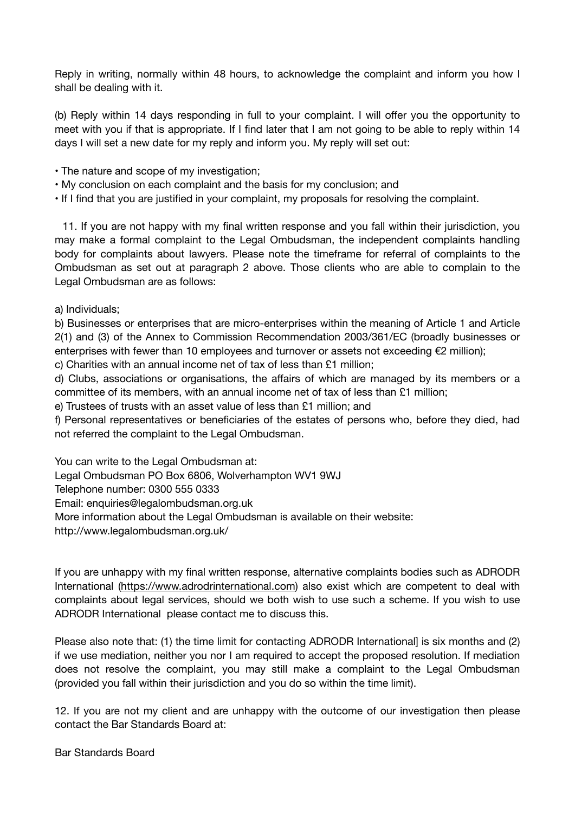Reply in writing, normally within 48 hours, to acknowledge the complaint and inform you how I shall be dealing with it.

(b) Reply within 14 days responding in full to your complaint. I will offer you the opportunity to meet with you if that is appropriate. If I find later that I am not going to be able to reply within 14 days I will set a new date for my reply and inform you. My reply will set out:

• The nature and scope of my investigation;

• My conclusion on each complaint and the basis for my conclusion; and

• If I find that you are justified in your complaint, my proposals for resolving the complaint.

 11. If you are not happy with my final written response and you fall within their jurisdiction, you may make a formal complaint to the Legal Ombudsman, the independent complaints handling body for complaints about lawyers. Please note the timeframe for referral of complaints to the Ombudsman as set out at paragraph 2 above. Those clients who are able to complain to the Legal Ombudsman are as follows:

a) Individuals;

b) Businesses or enterprises that are micro-enterprises within the meaning of Article 1 and Article 2(1) and (3) of the Annex to Commission Recommendation 2003/361/EC (broadly businesses or enterprises with fewer than 10 employees and turnover or assets not exceeding  $\epsilon$ 2 million);

c) Charities with an annual income net of tax of less than £1 million;

d) Clubs, associations or organisations, the affairs of which are managed by its members or a committee of its members, with an annual income net of tax of less than £1 million;

e) Trustees of trusts with an asset value of less than £1 million; and

f) Personal representatives or beneficiaries of the estates of persons who, before they died, had not referred the complaint to the Legal Ombudsman.

You can write to the Legal Ombudsman at:

Legal Ombudsman PO Box 6806, Wolverhampton WV1 9WJ

Telephone number: 0300 555 0333

Email: enquiries@legalombudsman.org.uk

More information about the Legal Ombudsman is available on their website:

http://www.legalombudsman.org.uk/

If you are unhappy with my final written response, alternative complaints bodies such as ADRODR International [\(https://www.adrodrinternational.com\)](https://www.adrodrinternational.com) also exist which are competent to deal with complaints about legal services, should we both wish to use such a scheme. If you wish to use ADRODR International please contact me to discuss this.

Please also note that: (1) the time limit for contacting ADRODR International] is six months and (2) if we use mediation, neither you nor I am required to accept the proposed resolution. If mediation does not resolve the complaint, you may still make a complaint to the Legal Ombudsman (provided you fall within their jurisdiction and you do so within the time limit).

12. If you are not my client and are unhappy with the outcome of our investigation then please contact the Bar Standards Board at:

Bar Standards Board